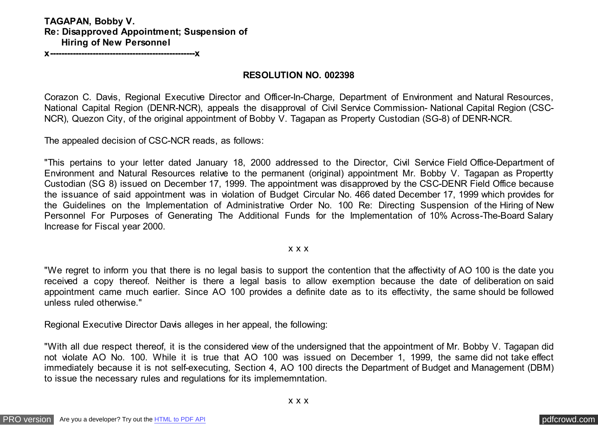### **TAGAPAN, Bobby V. Re: Disapproved Appointment; Suspension of Hiring of New Personnel**

**x---------------------------------------------------x**

#### **RESOLUTION NO. 002398**

Corazon C. Davis, Regional Executive Director and Officer-In-Charge, Department of Environment and Natural Resources, National Capital Region (DENR-NCR), appeals the disapproval of Civil Service Commission- National Capital Region (CSC-NCR), Quezon City, of the original appointment of Bobby V. Tagapan as Property Custodian (SG-8) of DENR-NCR.

The appealed decision of CSC-NCR reads, as follows:

"This pertains to your letter dated January 18, 2000 addressed to the Director, Civil Service Field Office-Department of Environment and Natural Resources relative to the permanent (original) appointment Mr. Bobby V. Tagapan as Propertty Custodian (SG 8) issued on December 17, 1999. The appointment was disapproved by the CSC-DENR Field Office because the issuance of said appointment was in violation of Budget Circular No. 466 dated December 17, 1999 which provides for the Guidelines on the Implementation of Administrative Order No. 100 Re: Directing Suspension of the Hiring of New Personnel For Purposes of Generating The Additional Funds for the Implementation of 10% Across-The-Board Salary Increase for Fiscal year 2000.

#### x x x

"We regret to inform you that there is no legal basis to support the contention that the affectivity of AO 100 is the date you received a copy thereof. Neither is there a legal basis to allow exemption because the date of deliberation on said appointment came much earlier. Since AO 100 provides a definite date as to its effectivity, the same should be followed unless ruled otherwise."

Regional Executive Director Davis alleges in her appeal, the following:

"With all due respect thereof, it is the considered view of the undersigned that the appointment of Mr. Bobby V. Tagapan did not violate AO No. 100. While it is true that AO 100 was issued on December 1, 1999, the same did not take effect immediately because it is not self-executing, Section 4, AO 100 directs the Department of Budget and Management (DBM) to issue the necessary rules and regulations for its implememntation.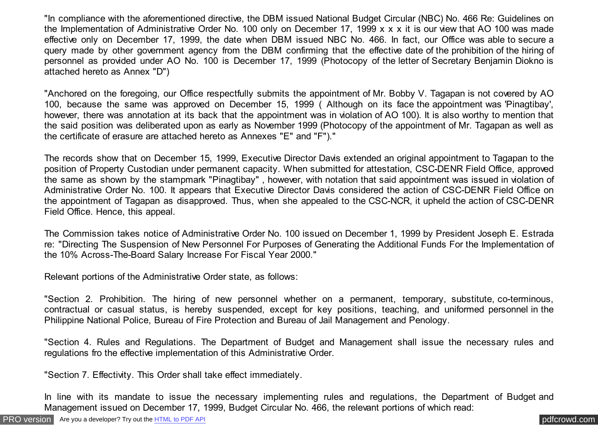"In compliance with the aforementioned directive, the DBM issued National Budget Circular (NBC) No. 466 Re: Guidelines on the Implementation of Administrative Order No. 100 only on December 17, 1999 x x x it is our view that AO 100 was made effective only on December 17, 1999, the date when DBM issued NBC No. 466. In fact, our Office was able to secure a query made by other government agency from the DBM confirming that the effective date of the prohibition of the hiring of personnel as provided under AO No. 100 is December 17, 1999 (Photocopy of the letter of Secretary Benjamin Diokno is attached hereto as Annex "D")

"Anchored on the foregoing, our Office respectfully submits the appointment of Mr. Bobby V. Tagapan is not covered by AO 100, because the same was approved on December 15, 1999 ( Although on its face the appointment was 'Pinagtibay', however, there was annotation at its back that the appointment was in violation of AO 100). It is also worthy to mention that the said position was deliberated upon as early as November 1999 (Photocopy of the appointment of Mr. Tagapan as well as the certificate of erasure are attached hereto as Annexes "E" and "F")."

The records show that on December 15, 1999, Executive Director Davis extended an original appointment to Tagapan to the position of Property Custodian under permanent capacity. When submitted for attestation, CSC-DENR Field Office, approved the same as shown by the stampmark "Pinagtibay" , however, with notation that said appointment was issued in violation of Administrative Order No. 100. It appears that Executive Director Davis considered the action of CSC-DENR Field Office on the appointment of Tagapan as disapproved. Thus, when she appealed to the CSC-NCR, it upheld the action of CSC-DENR Field Office. Hence, this appeal.

The Commission takes notice of Administrative Order No. 100 issued on December 1, 1999 by President Joseph E. Estrada re: "Directing The Suspension of New Personnel For Purposes of Generating the Additional Funds For the Implementation of the 10% Across-The-Board Salary Increase For Fiscal Year 2000."

Relevant portions of the Administrative Order state, as follows:

"Section 2. Prohibition. The hiring of new personnel whether on a permanent, temporary, substitute, co-terminous, contractual or casual status, is hereby suspended, except for key positions, teaching, and uniformed personnel in the Philippine National Police, Bureau of Fire Protection and Bureau of Jail Management and Penology.

"Section 4. Rules and Regulations. The Department of Budget and Management shall issue the necessary rules and regulations fro the effective implementation of this Administrative Order.

"Section 7. Effectivity. This Order shall take effect immediately.

In line with its mandate to issue the necessary implementing rules and regulations, the Department of Budget and Management issued on December 17, 1999, Budget Circular No. 466, the relevant portions of which read: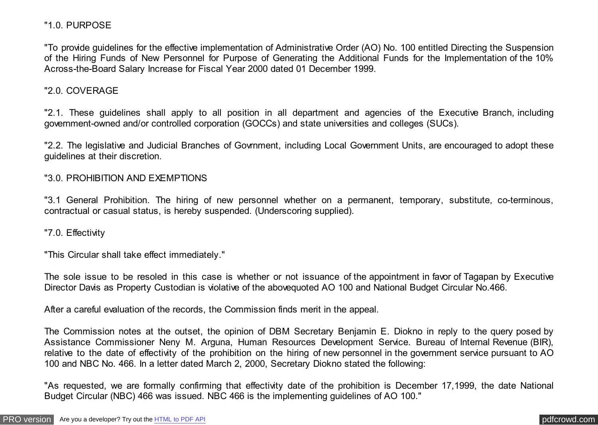### "1.0. PURPOSE

"To provide guidelines for the effective implementation of Administrative Order (AO) No. 100 entitled Directing the Suspension of the Hiring Funds of New Personnel for Purpose of Generating the Additional Funds for the Implementation of the 10% Across-the-Board Salary Increase for Fiscal Year 2000 dated 01 December 1999.

## "2.0. COVERAGE

"2.1. These guidelines shall apply to all position in all department and agencies of the Executive Branch, including government-owned and/or controlled corporation (GOCCs) and state universities and colleges (SUCs).

"2.2. The legislative and Judicial Branches of Govrnment, including Local Government Units, are encouraged to adopt these guidelines at their discretion.

#### "3.0. PROHIBITION AND EXEMPTIONS

"3.1 General Prohibition. The hiring of new personnel whether on a permanent, temporary, substitute, co-terminous, contractual or casual status, is hereby suspended. (Underscoring supplied).

"7.0. Effectivity

"This Circular shall take effect immediately."

The sole issue to be resoled in this case is whether or not issuance of the appointment in favor of Tagapan by Executive Director Davis as Property Custodian is violative of the abovequoted AO 100 and National Budget Circular No.466.

After a careful evaluation of the records, the Commission finds merit in the appeal.

The Commission notes at the outset, the opinion of DBM Secretary Benjamin E. Diokno in reply to the query posed by Assistance Commissioner Neny M. Arguna, Human Resources Development Service. Bureau of Internal Revenue (BIR), relative to the date of effectivity of the prohibition on the hiring of new personnel in the government service pursuant to AO 100 and NBC No. 466. In a letter dated March 2, 2000, Secretary Diokno stated the following:

"As requested, we are formally confirming that effectivity date of the prohibition is December 17,1999, the date National Budget Circular (NBC) 466 was issued. NBC 466 is the implementing guidelines of AO 100."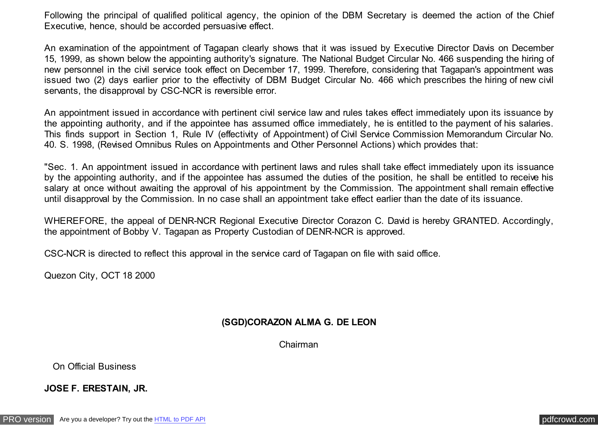Following the principal of qualified political agency, the opinion of the DBM Secretary is deemed the action of the Chief Executive, hence, should be accorded persuasive effect.

An examination of the appointment of Tagapan clearly shows that it was issued by Executive Director Davis on December 15, 1999, as shown below the appointing authority's signature. The National Budget Circular No. 466 suspending the hiring of new personnel in the civil service took effect on December 17, 1999. Therefore, considering that Tagapan's appointment was issued two (2) days earlier prior to the effectivity of DBM Budget Circular No. 466 which prescribes the hiring of new civil servants, the disapproval by CSC-NCR is reversible error.

An appointment issued in accordance with pertinent civil service law and rules takes effect immediately upon its issuance by the appointing authority, and if the appointee has assumed office immediately, he is entitled to the payment of his salaries. This finds support in Section 1, Rule IV (effectivity of Appointment) of Civil Service Commission Memorandum Circular No. 40. S. 1998, (Revised Omnibus Rules on Appointments and Other Personnel Actions) which provides that:

"Sec. 1. An appointment issued in accordance with pertinent laws and rules shall take effect immediately upon its issuance by the appointing authority, and if the appointee has assumed the duties of the position, he shall be entitled to receive his salary at once without awaiting the approval of his appointment by the Commission. The appointment shall remain effective until disapproval by the Commission. In no case shall an appointment take effect earlier than the date of its issuance.

WHEREFORE, the appeal of DENR-NCR Regional Executive Director Corazon C. David is hereby GRANTED. Accordingly, the appointment of Bobby V. Tagapan as Property Custodian of DENR-NCR is approved.

CSC-NCR is directed to reflect this approval in the service card of Tagapan on file with said office.

Quezon City, OCT 18 2000

# **(SGD)CORAZON ALMA G. DE LEON**

Chairman

On Official Business

**JOSE F. ERESTAIN, JR.**